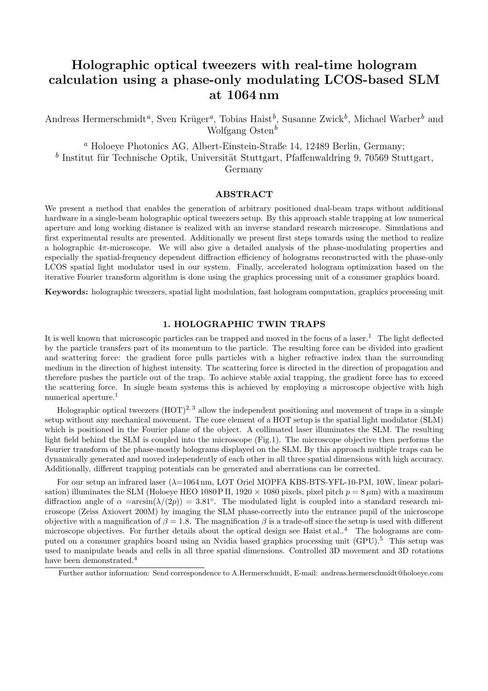# Holographic optical tweezers with real-time hologram calculation using a phase-only modulating LCOS-based SLM at 1064 nm

Andreas Hermerschmidt<sup>a</sup>, Sven Krüger<sup>a</sup>, Tobias Haist<sup>b</sup>, Susanne Zwick<sup>b</sup>, Michael Warber<sup>b</sup> and Wolfgang Osten $\overline{b}$ 

<sup>a</sup> Holoeye Photonics AG, Albert-Einstein-Straße 14, 12489 Berlin, Germany;

<sup>b</sup> Institut für Technische Optik, Universität Stuttgart, Pfaffenwaldring 9, 70569 Stuttgart,

Germany

# ABSTRACT

We present a method that enables the generation of arbitrary positioned dual-beam traps without additional hardware in a single-beam holographic optical tweezers setup. By this approach stable trapping at low numerical aperture and long working distance is realized with an inverse standard research microscope. Simulations and first experimental results are presented. Additionally we present first steps towards using the method to realize a holographic 4π-microscope. We will also give a detailed analysis of the phase-modulating properties and especially the spatial-frequency dependent diffraction efficiency of holograms reconstructed with the phase-only LCOS spatial light modulator used in our system. Finally, accelerated hologram optimization based on the iterative Fourier transform algorithm is done using the graphics processing unit of a consumer graphics board.

Keywords: holographic tweezers, spatial light modulation, fast hologram computation, graphics processing unit

## 1. HOLOGRAPHIC TWIN TRAPS

It is well known that microscopic particles can be trapped and moved in the focus of a laser.<sup>1</sup> The light deflected by the particle transfers part of its momentum to the particle. The resulting force can be divided into gradient and scattering force: the gradient force pulls particles with a higher refractive index than the surrounding medium in the direction of highest intensity. The scattering force is directed in the direction of propagation and therefore pushes the particle out of the trap. To achieve stable axial trapping, the gradient force has to exceed the scattering force. In single beam systems this is achieved by employing a microscope objective with high numerical aperture.<sup>1</sup>

Holographic optical tweezers  $(HOT)^{2,3}$  allow the independent positioning and movement of traps in a simple setup without any mechanical movement. The core element of a HOT setup is the spatial light modulator (SLM) which is positioned in the Fourier plane of the object. A collimated laser illuminates the SLM. The resulting light field behind the SLM is coupled into the microscope (Fig.1). The microscope objective then performs the Fourier transform of the phase-mostly holograms displayed on the SLM. By this approach multiple traps can be dynamically generated and moved independently of each other in all three spatial dimensions with high accuracy. Additionally, different trapping potentials can be generated and aberrations can be corrected.

For our setup an infrared laser (λ=1064 nm, LOT Oriel MOPFA KBS-BTS-YFL-10-PM, 10W, linear polarisation) illuminates the SLM (Holoeye HEO 1080 P II, 1920  $\times$  1080 pixels, pixel pitch  $p = 8 \,\mu$ m) with a maximum diffraction angle of  $\alpha = \arcsin(\lambda/(2p)) = 3.81^\circ$ . The modulated light is coupled into a standard research microscope (Zeiss Axiovert 200M) by imaging the SLM phase-correctly into the entrance pupil of the microscope objective with a magnification of  $\beta = 1.8$ . The magnification  $\beta$  is a trade-off since the setup is used with different microscope objectives. For further details about the optical design see Haist et al..<sup>4</sup> The holograms are computed on a consumer graphics board using an Nvidia based graphics processing unit (GPU).<sup>5</sup> This setup was used to manipulate beads and cells in all three spatial dimensions. Controlled 3D movement and 3D rotations have been demonstrated.<sup>4</sup>

Further author information: Send correspondence to A.Hermerschmidt, E-mail: andreas.hermerschmidt@holoeye.com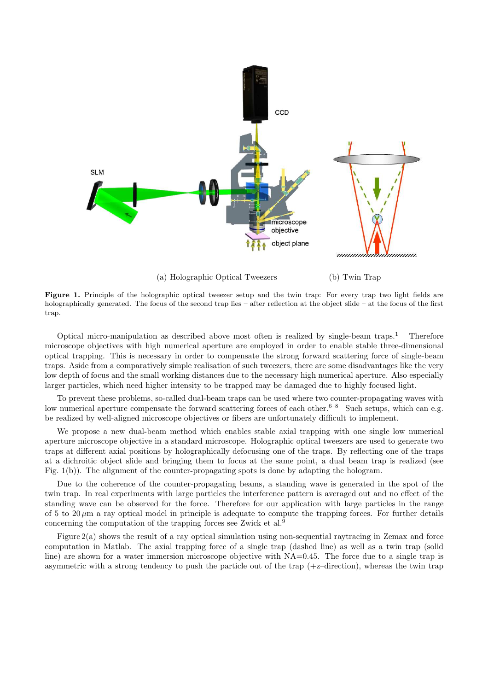

(a) Holographic Optical Tweezers (b) Twin Trap

Figure 1. Principle of the holographic optical tweezer setup and the twin trap: For every trap two light fields are holographically generated. The focus of the second trap lies – after reflection at the object slide – at the focus of the first trap.

Optical micro-manipulation as described above most often is realized by single-beam traps.<sup>1</sup> Therefore microscope objectives with high numerical aperture are employed in order to enable stable three-dimensional optical trapping. This is necessary in order to compensate the strong forward scattering force of single-beam traps. Aside from a comparatively simple realisation of such tweezers, there are some disadvantages like the very low depth of focus and the small working distances due to the necessary high numerical aperture. Also especially larger particles, which need higher intensity to be trapped may be damaged due to highly focused light.

To prevent these problems, so-called dual-beam traps can be used where two counter-propagating waves with low numerical aperture compensate the forward scattering forces of each other.<sup>6–8</sup> Such setups, which can e.g. be realized by well-aligned microscope objectives or fibers are unfortunately difficult to implement.

We propose a new dual-beam method which enables stable axial trapping with one single low numerical aperture microscope objective in a standard microscope. Holographic optical tweezers are used to generate two traps at different axial positions by holographically defocusing one of the traps. By reflecting one of the traps at a dichroitic object slide and bringing them to focus at the same point, a dual beam trap is realized (see Fig. 1(b)). The alignment of the counter-propagating spots is done by adapting the hologram.

Due to the coherence of the counter-propagating beams, a standing wave is generated in the spot of the twin trap. In real experiments with large particles the interference pattern is averaged out and no effect of the standing wave can be observed for the force. Therefore for our application with large particles in the range of 5 to  $20 \mu$ m a ray optical model in principle is adequate to compute the trapping forces. For further details concerning the computation of the trapping forces see Zwick et al.<sup>9</sup>

Figure 2(a) shows the result of a ray optical simulation using non-sequential raytracing in Zemax and force computation in Matlab. The axial trapping force of a single trap (dashed line) as well as a twin trap (solid line) are shown for a water immersion microscope objective with NA=0.45. The force due to a single trap is asymmetric with a strong tendency to push the particle out of the trap (+z–direction), whereas the twin trap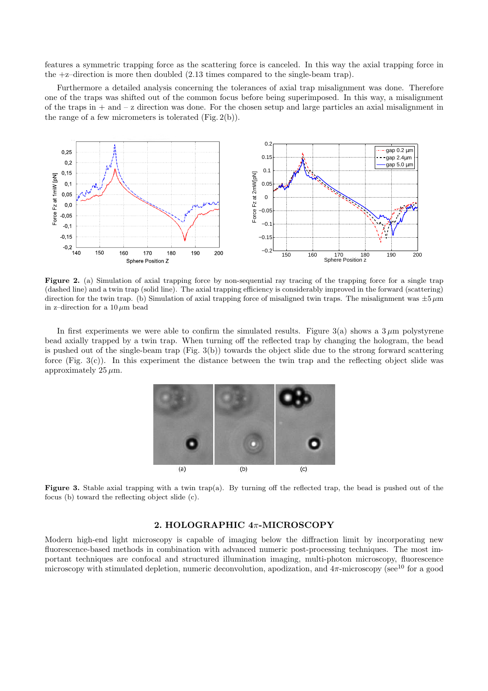features a symmetric trapping force as the scattering force is canceled. In this way the axial trapping force in the  $+z$ -direction is more then doubled  $(2.13 \times \text{times})$  compared to the single-beam trap).

Furthermore a detailed analysis concerning the tolerances of axial trap misalignment was done. Therefore one of the traps was shifted out of the common focus before being superimposed. In this way, a misalignment of the traps in  $+$  and  $-z$  direction was done. For the chosen setup and large particles an axial misalignment in the range of a few micrometers is tolerated (Fig. 2(b)).



Figure 2. (a) Simulation of axial trapping force by non-sequential ray tracing of the trapping force for a single trap (dashed line) and a twin trap (solid line). The axial trapping efficiency is considerably improved in the forward (scattering) direction for the twin trap. (b) Simulation of axial trapping force of misaligned twin traps. The misalignment was  $\pm 5 \,\mu m$ in z-direction for a  $10 \mu m$  bead

In first experiments we were able to confirm the simulated results. Figure 3(a) shows a  $3 \mu$ m polystyrene bead axially trapped by a twin trap. When turning off the reflected trap by changing the hologram, the bead is pushed out of the single-beam trap (Fig. 3(b)) towards the object slide due to the strong forward scattering force (Fig. 3(c)). In this experiment the distance between the twin trap and the reflecting object slide was approximately  $25 \mu m$ .



Figure 3. Stable axial trapping with a twin trap(a). By turning off the reflected trap, the bead is pushed out of the focus (b) toward the reflecting object slide (c).

# 2. HOLOGRAPHIC 4π-MICROSCOPY

Modern high-end light microscopy is capable of imaging below the diffraction limit by incorporating new fluorescence-based methods in combination with advanced numeric post-processing techniques. The most important techniques are confocal and structured illumination imaging, multi-photon microscopy, fluorescence microscopy with stimulated depletion, numeric deconvolution, apodization, and  $4\pi$ -microscopy (see<sup>10</sup> for a good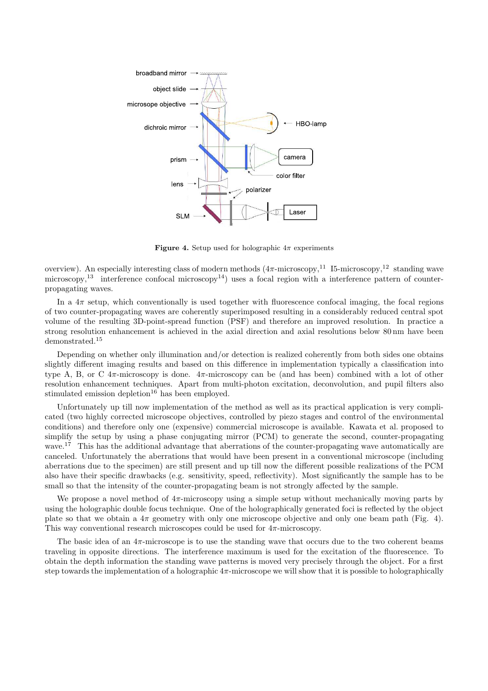

**Figure 4.** Setup used for holographic  $4\pi$  experiments

overview). An especially interesting class of modern methods  $(4\pi$ -microscopy,<sup>11</sup> I5-microscopy,<sup>12</sup> standing wave microscopy,<sup>13</sup> interference confocal microscopy<sup>14</sup>) uses a focal region with a interference pattern of counterpropagating waves.

In a  $4\pi$  setup, which conventionally is used together with fluorescence confocal imaging, the focal regions of two counter-propagating waves are coherently superimposed resulting in a considerably reduced central spot volume of the resulting 3D-point-spread function (PSF) and therefore an improved resolution. In practice a strong resolution enhancement is achieved in the axial direction and axial resolutions below 80 nm have been demonstrated.<sup>15</sup>

Depending on whether only illumination and/or detection is realized coherently from both sides one obtains slightly different imaging results and based on this difference in implementation typically a classification into type A, B, or C  $4\pi$ -microscopy is done.  $4\pi$ -microscopy can be (and has been) combined with a lot of other resolution enhancement techniques. Apart from multi-photon excitation, deconvolution, and pupil filters also stimulated emission depletion<sup>16</sup> has been employed.

Unfortunately up till now implementation of the method as well as its practical application is very complicated (two highly corrected microscope objectives, controlled by piezo stages and control of the environmental conditions) and therefore only one (expensive) commercial microscope is available. Kawata et al. proposed to simplify the setup by using a phase conjugating mirror (PCM) to generate the second, counter-propagating wave.<sup>17</sup> This has the additional advantage that aberrations of the counter-propagating wave automatically are canceled. Unfortunately the aberrations that would have been present in a conventional microscope (including aberrations due to the specimen) are still present and up till now the different possible realizations of the PCM also have their specific drawbacks (e.g. sensitivity, speed, reflectivity). Most significantly the sample has to be small so that the intensity of the counter-propagating beam is not strongly affected by the sample.

We propose a novel method of  $4\pi$ -microscopy using a simple setup without mechanically moving parts by using the holographic double focus technique. One of the holographically generated foci is reflected by the object plate so that we obtain a  $4\pi$  geometry with only one microscope objective and only one beam path (Fig. 4). This way conventional research microscopes could be used for  $4\pi$ -microscopy.

The basic idea of an 4π-microscope is to use the standing wave that occurs due to the two coherent beams traveling in opposite directions. The interference maximum is used for the excitation of the fluorescence. To obtain the depth information the standing wave patterns is moved very precisely through the object. For a first step towards the implementation of a holographic  $4\pi$ -microscope we will show that it is possible to holographically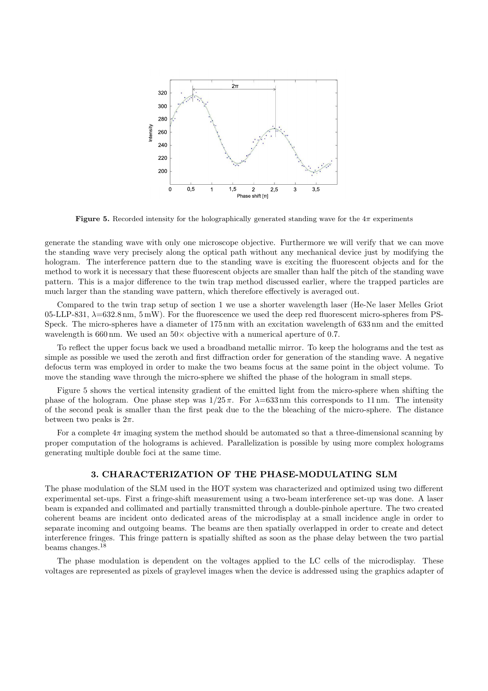

Figure 5. Recorded intensity for the holographically generated standing wave for the  $4\pi$  experiments

generate the standing wave with only one microscope objective. Furthermore we will verify that we can move the standing wave very precisely along the optical path without any mechanical device just by modifying the hologram. The interference pattern due to the standing wave is exciting the fluorescent objects and for the method to work it is necessary that these fluorescent objects are smaller than half the pitch of the standing wave pattern. This is a major difference to the twin trap method discussed earlier, where the trapped particles are much larger than the standing wave pattern, which therefore effectively is averaged out.

Compared to the twin trap setup of section 1 we use a shorter wavelength laser (He-Ne laser Melles Griot  $05\text{-LLP-831}, \lambda=632.8 \text{ nm}, 5 \text{ mW}$ . For the fluorescence we used the deep red fluorescent micro-spheres from PS-Speck. The micro-spheres have a diameter of 175 nm with an excitation wavelength of 633 nm and the emitted wavelength is 660 nm. We used an  $50\times$  objective with a numerical aperture of 0.7.

To reflect the upper focus back we used a broadband metallic mirror. To keep the holograms and the test as simple as possible we used the zeroth and first diffraction order for generation of the standing wave. A negative defocus term was employed in order to make the two beams focus at the same point in the object volume. To move the standing wave through the micro-sphere we shifted the phase of the hologram in small steps.

Figure 5 shows the vertical intensity gradient of the emitted light from the micro-sphere when shifting the phase of the hologram. One phase step was  $1/25\pi$ . For  $\lambda=633\,\text{nm}$  this corresponds to 11 nm. The intensity of the second peak is smaller than the first peak due to the the bleaching of the micro-sphere. The distance between two peaks is  $2\pi$ .

For a complete  $4\pi$  imaging system the method should be automated so that a three-dimensional scanning by proper computation of the holograms is achieved. Parallelization is possible by using more complex holograms generating multiple double foci at the same time.

# 3. CHARACTERIZATION OF THE PHASE-MODULATING SLM

The phase modulation of the SLM used in the HOT system was characterized and optimized using two different experimental set-ups. First a fringe-shift measurement using a two-beam interference set-up was done. A laser beam is expanded and collimated and partially transmitted through a double-pinhole aperture. The two created coherent beams are incident onto dedicated areas of the microdisplay at a small incidence angle in order to separate incoming and outgoing beams. The beams are then spatially overlapped in order to create and detect interference fringes. This fringe pattern is spatially shifted as soon as the phase delay between the two partial beams changes.<sup>18</sup>

The phase modulation is dependent on the voltages applied to the LC cells of the microdisplay. These voltages are represented as pixels of graylevel images when the device is addressed using the graphics adapter of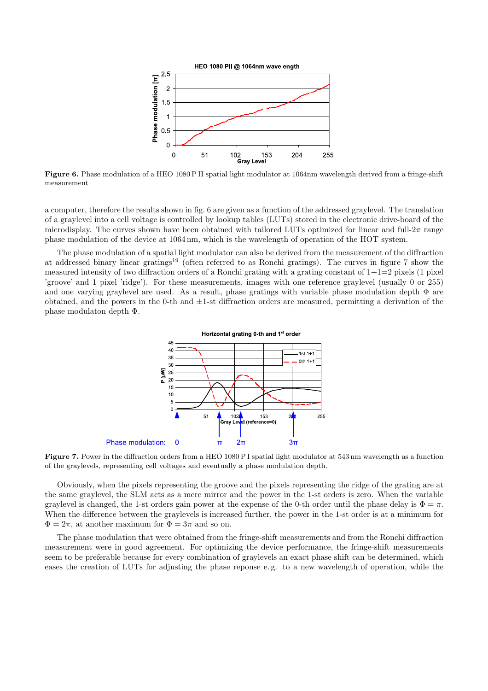

Figure 6. Phase modulation of a HEO 1080 P II spatial light modulator at 1064nm wavelength derived from a fringe-shift measurement

a computer, therefore the results shown in fig. 6 are given as a function of the addressed graylevel. The translation of a graylevel into a cell voltage is controlled by lookup tables (LUTs) stored in the electronic drive-board of the microdisplay. The curves shown have been obtained with tailored LUTs optimized for linear and full- $2\pi$  range phase modulation of the device at 1064 nm, which is the wavelength of operation of the HOT system.

The phase modulation of a spatial light modulator can also be derived from the measurement of the diffraction at addressed binary linear gratings<sup>19</sup> (often referred to as Ronchi gratings). The curves in figure 7 show the measured intensity of two diffraction orders of a Ronchi grating with a grating constant of  $1+1=2$  pixels (1 pixel 'groove' and 1 pixel 'ridge'). For these measurements, images with one reference graylevel (usually 0 or 255) and one varying graylevel are used. As a result, phase gratings with variable phase modulation depth  $\Phi$  are obtained, and the powers in the 0-th and  $\pm 1$ -st diffraction orders are measured, permitting a derivation of the phase modulaton depth Φ.



Figure 7. Power in the diffraction orders from a HEO 1080 P I spatial light modulator at 543 nm wavelength as a function of the graylevels, representing cell voltages and eventually a phase modulation depth.

Obviously, when the pixels representing the groove and the pixels representing the ridge of the grating are at the same graylevel, the SLM acts as a mere mirror and the power in the 1-st orders is zero. When the variable graylevel is changed, the 1-st orders gain power at the expense of the 0-th order until the phase delay is  $\Phi = \pi$ . When the difference between the graylevels is increased further, the power in the 1-st order is at a minimum for  $\Phi = 2\pi$ , at another maximum for  $\Phi = 3\pi$  and so on.

The phase modulation that were obtained from the fringe-shift measurements and from the Ronchi diffraction measurement were in good agreement. For optimizing the device performance, the fringe-shift measurements seem to be preferable because for every combination of graylevels an exact phase shift can be determined, which eases the creation of LUTs for adjusting the phase reponse e. g. to a new wavelength of operation, while the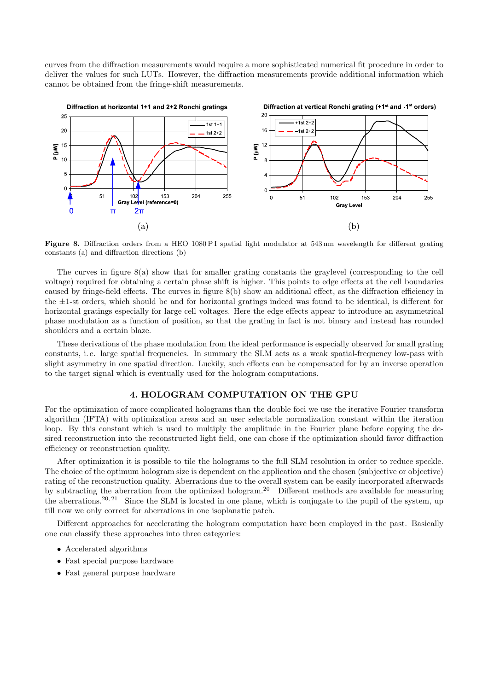curves from the diffraction measurements would require a more sophisticated numerical fit procedure in order to deliver the values for such LUTs. However, the diffraction measurements provide additional information which cannot be obtained from the fringe-shift measurements.



Figure 8. Diffraction orders from a HEO 1080 P I spatial light modulator at 543 nm wavelength for different grating constants (a) and diffraction directions (b)

The curves in figure 8(a) show that for smaller grating constants the graylevel (corresponding to the cell voltage) required for obtaining a certain phase shift is higher. This points to edge effects at the cell boundaries caused by fringe-field effects. The curves in figure 8(b) show an additional effect, as the diffraction efficiency in the  $\pm 1$ -st orders, which should be and for horizontal gratings indeed was found to be identical, is different for horizontal gratings especially for large cell voltages. Here the edge effects appear to introduce an asymmetrical phase modulation as a function of position, so that the grating in fact is not binary and instead has rounded shoulders and a certain blaze.

These derivations of the phase modulation from the ideal performance is especially observed for small grating constants, i. e. large spatial frequencies. In summary the SLM acts as a weak spatial-frequency low-pass with slight asymmetry in one spatial direction. Luckily, such effects can be compensated for by an inverse operation to the target signal which is eventually used for the hologram computations.

## 4. HOLOGRAM COMPUTATION ON THE GPU

For the optimization of more complicated holograms than the double foci we use the iterative Fourier transform algorithm (IFTA) with optimization areas and an user selectable normalization constant within the iteration loop. By this constant which is used to multiply the amplitude in the Fourier plane before copying the desired reconstruction into the reconstructed light field, one can chose if the optimization should favor diffraction efficiency or reconstruction quality.

After optimization it is possible to tile the holograms to the full SLM resolution in order to reduce speckle. The choice of the optimum hologram size is dependent on the application and the chosen (subjective or objective) rating of the reconstruction quality. Aberrations due to the overall system can be easily incorporated afterwards by subtracting the aberration from the optimized hologram.<sup>20</sup> Different methods are available for measuring the aberrations.<sup>20, 21</sup> Since the SLM is located in one plane, which is conjugate to the pupil of the system, up till now we only correct for aberrations in one isoplanatic patch.

Different approaches for accelerating the hologram computation have been employed in the past. Basically one can classify these approaches into three categories:

- Accelerated algorithms
- Fast special purpose hardware
- Fast general purpose hardware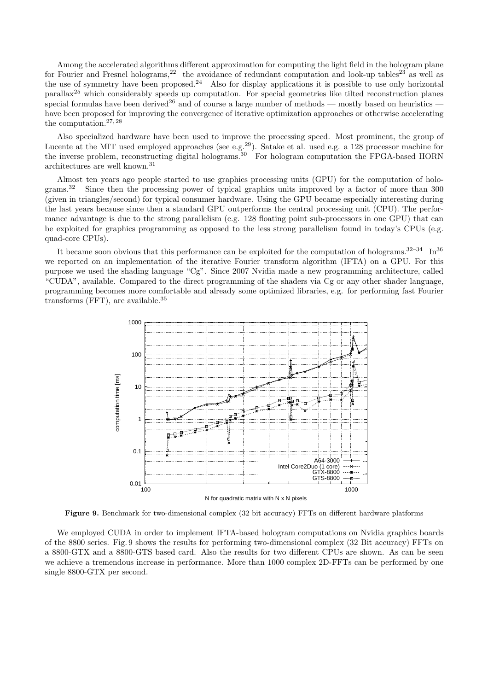Among the accelerated algorithms different approximation for computing the light field in the hologram plane for Fourier and Fresnel holograms,<sup>22</sup> the avoidance of redundant computation and look-up tables<sup>23</sup> as well as the use of symmetry have been proposed.<sup>24</sup> Also for display applications it is possible to use only horizontal parallax<sup>25</sup> which considerably speeds up computation. For special geometries like tilted reconstruction planes special formulas have been derived<sup>26</sup> and of course a large number of methods — mostly based on heuristics have been proposed for improving the convergence of iterative optimization approaches or otherwise accelerating the computation.<sup>27, 28</sup>

Also specialized hardware have been used to improve the processing speed. Most prominent, the group of Lucente at the MIT used employed approaches (see e.g.<sup>29</sup>). Satake et al. used e.g. a 128 processor machine for the inverse problem, reconstructing digital holograms.<sup>30</sup> For hologram computation the FPGA-based HORN architectures are well known.<sup>31</sup>

Almost ten years ago people started to use graphics processing units (GPU) for the computation of holograms.<sup>32</sup> Since then the processing power of typical graphics units improved by a factor of more than 300 Since then the processing power of typical graphics units improved by a factor of more than 300 (given in triangles/second) for typical consumer hardware. Using the GPU became especially interesting during the last years because since then a standard GPU outperforms the central processing unit (CPU). The performance advantage is due to the strong parallelism (e.g. 128 floating point sub-processors in one GPU) that can be exploited for graphics programming as opposed to the less strong parallelism found in today's CPUs (e.g. quad-core CPUs).

It became soon obvious that this performance can be exploited for the computation of holograms.<sup>32–34</sup> In<sup>36</sup> we reported on an implementation of the iterative Fourier transform algorithm (IFTA) on a GPU. For this purpose we used the shading language "Cg". Since 2007 Nvidia made a new programming architecture, called "CUDA", available. Compared to the direct programming of the shaders via Cg or any other shader language, programming becomes more comfortable and already some optimized libraries, e.g. for performing fast Fourier transforms (FFT), are available.<sup>35</sup>



Figure 9. Benchmark for two-dimensional complex (32 bit accuracy) FFTs on different hardware platforms

We employed CUDA in order to implement IFTA-based hologram computations on Nvidia graphics boards of the 8800 series. Fig. 9 shows the results for performing two-dimensional complex (32 Bit accuracy) FFTs on a 8800-GTX and a 8800-GTS based card. Also the results for two different CPUs are shown. As can be seen we achieve a tremendous increase in performance. More than 1000 complex 2D-FFTs can be performed by one single 8800-GTX per second.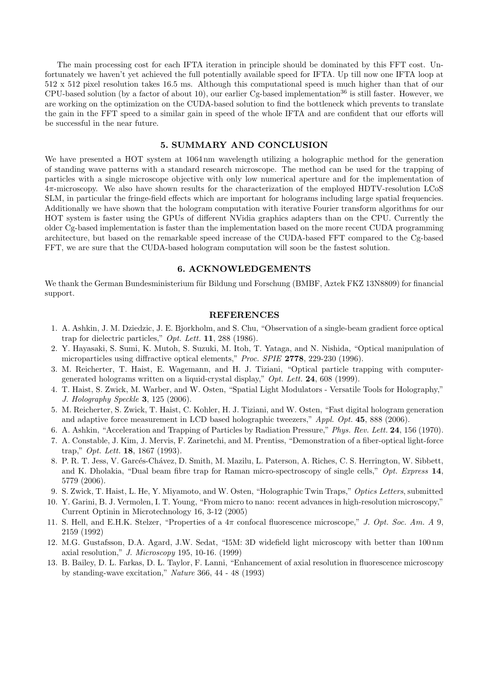The main processing cost for each IFTA iteration in principle should be dominated by this FFT cost. Unfortunately we haven't yet achieved the full potentially available speed for IFTA. Up till now one IFTA loop at 512 x 512 pixel resolution takes 16.5 ms. Although this computational speed is much higher than that of our CPU-based solution (by a factor of about 10), our earlier Cg-based implementation<sup>36</sup> is still faster. However, we are working on the optimization on the CUDA-based solution to find the bottleneck which prevents to translate the gain in the FFT speed to a similar gain in speed of the whole IFTA and are confident that our efforts will be successful in the near future.

# 5. SUMMARY AND CONCLUSION

We have presented a HOT system at  $1064 \,\mathrm{nm}$  wavelength utilizing a holographic method for the generation of standing wave patterns with a standard research microscope. The method can be used for the trapping of particles with a single microscope objective with only low numerical aperture and for the implementation of 4π-microscopy. We also have shown results for the characterization of the employed HDTV-resolution LCoS SLM, in particular the fringe-field effects which are important for holograms including large spatial frequencies. Additionally we have shown that the hologram computation with iterative Fourier transform algorithms for our HOT system is faster using the GPUs of different NVidia graphics adapters than on the CPU. Currently the older Cg-based implementation is faster than the implementation based on the more recent CUDA programming architecture, but based on the remarkable speed increase of the CUDA-based FFT compared to the Cg-based FFT, we are sure that the CUDA-based hologram computation will soon be the fastest solution.

#### 6. ACKNOWLEDGEMENTS

We thank the German Bundesministerium für Bildung und Forschung (BMBF, Aztek FKZ 13N8809) for financial support.

#### REFERENCES

- 1. A. Ashkin, J. M. Dziedzic, J. E. Bjorkholm, and S. Chu, "Observation of a single-beam gradient force optical trap for dielectric particles," Opt. Lett. 11, 288 (1986).
- 2. Y. Hayasaki, S. Sumi, K. Mutoh, S. Suzuki, M. Itoh, T. Yataga, and N. Nishida, "Optical manipulation of microparticles using diffractive optical elements," Proc. SPIE 2778, 229-230 (1996).
- 3. M. Reicherter, T. Haist, E. Wagemann, and H. J. Tiziani, "Optical particle trapping with computergenerated holograms written on a liquid-crystal display," Opt. Lett. 24, 608 (1999).
- 4. T. Haist, S. Zwick, M. Warber, and W. Osten, "Spatial Light Modulators Versatile Tools for Holography," J. Holography Speckle 3, 125 (2006).
- 5. M. Reicherter, S. Zwick, T. Haist, C. Kohler, H. J. Tiziani, and W. Osten, "Fast digital hologram generation and adaptive force measurement in LCD based holographic tweezers," Appl. Opt. 45, 888 (2006).
- 6. A. Ashkin, "Acceleration and Trapping of Particles by Radiation Pressure," Phys. Rev. Lett. 24, 156 (1970).
- 7. A. Constable, J. Kim, J. Mervis, F. Zarinetchi, and M. Prentiss, "Demonstration of a fiber-optical light-force trap," Opt. Lett. 18, 1867 (1993).
- 8. P. R. T. Jess, V. Garcés-Chávez, D. Smith, M. Mazilu, L. Paterson, A. Riches, C. S. Herrington, W. Sibbett, and K. Dholakia, "Dual beam fibre trap for Raman micro-spectroscopy of single cells," Opt. Express 14, 5779 (2006).
- 9. S. Zwick, T. Haist, L. He, Y. Miyamoto, and W. Osten, "Holographic Twin Traps," Optics Letters, submitted
- 10. Y. Garini, B. J. Vermolen, I. T. Young, "From micro to nano: recent advances in high-resolution microscopy," Current Optinin in Microtechnology 16, 3-12 (2005)
- 11. S. Hell, and E.H.K. Stelzer, "Properties of a 4π confocal fluorescence microscope," J. Opt. Soc. Am. A 9, 2159 (1992)
- 12. M.G. Gustafsson, D.A. Agard, J.W. Sedat, "I5M: 3D widefield light microscopy with better than 100 nm axial resolution," J. Microscopy 195, 10-16. (1999)
- 13. B. Bailey, D. L. Farkas, D. L. Taylor, F. Lanni, "Enhancement of axial resolution in fluorescence microscopy by standing-wave excitation," Nature 366, 44 - 48 (1993)